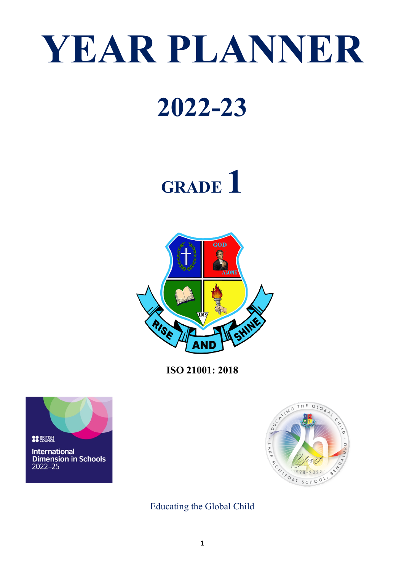# **YEAR PLANNER**

### **2022-23**

## **GRADE 1**



**ISO 21001: 2018**





Educating the Global Child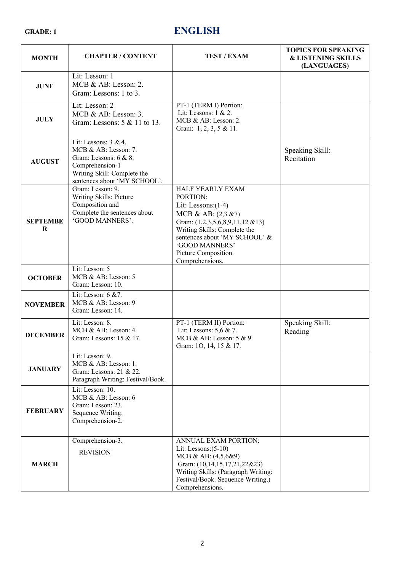#### **GRADE: 1 ENGLISH**

| <b>MONTH</b>               | <b>CHAPTER / CONTENT</b>                                                                                                                                      | <b>TEST / EXAM</b>                                                                                                                                                                                                                           | <b>TOPICS FOR SPEAKING</b><br><b>&amp; LISTENING SKILLS</b><br>(LANGUAGES) |
|----------------------------|---------------------------------------------------------------------------------------------------------------------------------------------------------------|----------------------------------------------------------------------------------------------------------------------------------------------------------------------------------------------------------------------------------------------|----------------------------------------------------------------------------|
| <b>JUNE</b>                | Lit: Lesson: 1<br>MCB & AB: Lesson: 2.<br>Gram: Lessons: 1 to 3.                                                                                              |                                                                                                                                                                                                                                              |                                                                            |
| <b>JULY</b>                | Lit: Lesson: 2<br>MCB & AB: Lesson: 3.<br>Gram: Lessons: 5 & 11 to 13.                                                                                        | PT-1 (TERM I) Portion:<br>Lit: Lessons: 1 & 2.<br>MCB & AB: Lesson: 2.<br>Gram: 1, 2, 3, 5 & 11.                                                                                                                                             |                                                                            |
| <b>AUGUST</b>              | Lit: Lessons: $3 & 4$ .<br>MCB & AB: Lesson: 7.<br>Gram: Lessons: $6 & 8$ .<br>Comprehension-1<br>Writing Skill: Complete the<br>sentences about 'MY SCHOOL'. |                                                                                                                                                                                                                                              | Speaking Skill:<br>Recitation                                              |
| <b>SEPTEMBE</b><br>$\bf R$ | Gram: Lesson: 9.<br>Writing Skills: Picture<br>Composition and<br>Complete the sentences about<br>'GOOD MANNERS'.                                             | HALF YEARLY EXAM<br>PORTION:<br>Lit: Lessons: $(1-4)$<br>MCB & AB: (2,3 &7)<br>Gram: (1,2,3,5,6,8,9,11,12 &13)<br>Writing Skills: Complete the<br>sentences about 'MY SCHOOL' &<br>'GOOD MANNERS'<br>Picture Composition.<br>Comprehensions. |                                                                            |
| <b>OCTOBER</b>             | Lit: Lesson: 5<br>MCB & AB: Lesson: 5<br>Gram: Lesson: 10.                                                                                                    |                                                                                                                                                                                                                                              |                                                                            |
| <b>NOVEMBER</b>            | Lit: Lesson: 6 &7.<br>MCB & AB: Lesson: 9<br>Gram: Lesson: 14.                                                                                                |                                                                                                                                                                                                                                              |                                                                            |
| <b>DECEMBER</b>            | Lit: Lesson: 8.<br>MCB & AB: Lesson: 4.<br>Gram: Lessons: 15 & 17.                                                                                            | PT-1 (TERM II) Portion:<br>Lit: Lessons: 5,6 & 7.<br>MCB & AB: Lesson: 5 & 9.<br>Gram: 10, 14, 15 & 17.                                                                                                                                      | Speaking Skill:<br>Reading                                                 |
| <b>JANUARY</b>             | Lit: Lesson: 9.<br>MCB & AB: Lesson: 1.<br>Gram: Lessons: 21 & 22.<br>Paragraph Writing: Festival/Book.                                                       |                                                                                                                                                                                                                                              |                                                                            |
| <b>FEBRUARY</b>            | Lit: Lesson: 10.<br>MCB & AB: Lesson: 6<br>Gram: Lesson: 23.<br>Sequence Writing.<br>Comprehension-2.                                                         |                                                                                                                                                                                                                                              |                                                                            |
| <b>MARCH</b>               | Comprehension-3.<br><b>REVISION</b>                                                                                                                           | ANNUAL EXAM PORTION:<br>Lit: Lessons: $(5-10)$<br>MCB & AB: (4,5,6&9)<br>Gram: (10,14,15,17,21,22&23)<br>Writing Skills: (Paragraph Writing:<br>Festival/Book. Sequence Writing.)<br>Comprehensions.                                         |                                                                            |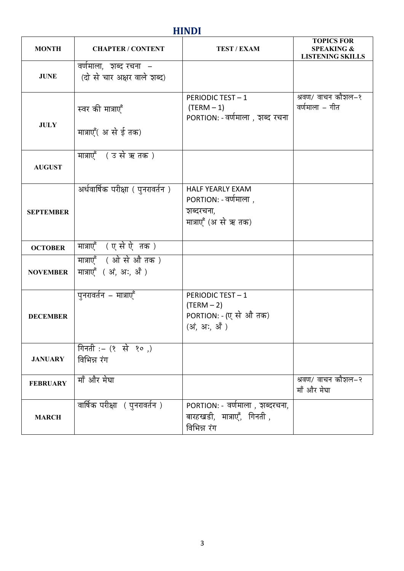#### **HINDI**

| <b>MONTH</b>     | <b>CHAPTER / CONTENT</b>                              | TEST / EXAM                                                                          | <b>TOPICS FOR</b><br><b>SPEAKING &amp;</b><br><b>LISTENING SKILLS</b> |
|------------------|-------------------------------------------------------|--------------------------------------------------------------------------------------|-----------------------------------------------------------------------|
| <b>JUNE</b>      | वर्णमाला, इाब्द रचना –<br>(दो से चार अक्षर वाले शब्द) |                                                                                      |                                                                       |
| <b>JULY</b>      | स्वर की मात्राएँ                                      | <b>PERIODIC TEST-1</b><br>$(TERM - 1)$<br>PORTION: - वर्णमाला, शब्द रचना             | श्रवण/ वाचन कौशल–१<br>वर्णमाला – गीत                                  |
|                  | मात्राएँ( अ से ई तक)                                  |                                                                                      |                                                                       |
| <b>AUGUST</b>    | मात्राएँ (उ से ऋ तक)                                  |                                                                                      |                                                                       |
| <b>SEPTEMBER</b> | अर्धवार्षिक परीक्षा ( पुनरावर्तन)                     | <b>HALF YEARLY EXAM</b><br>PORTION: - वर्णमाला,<br>शब्दरचना,<br>मात्राएँ (अ से ऋ तक) |                                                                       |
| <b>OCTOBER</b>   | मात्राएँ (एसेऐ तक)                                    |                                                                                      |                                                                       |
| <b>NOVEMBER</b>  | मात्राएँ (ओ से औ तक)<br>मात्राएँ (अं, अः, अँ)         |                                                                                      |                                                                       |
| <b>DECEMBER</b>  | पुनरावर्तन – मात्राएँ                                 | <b>PERIODIC TEST-1</b><br>$(TERM - 2)$<br>PORTION: - (ए से औ तक)<br>(अं, अः, अँ)     |                                                                       |
| <b>JANUARY</b>   | गिनती :– $(8 + 3)$ (२०)<br>विभिन्न रंग                |                                                                                      |                                                                       |
| <b>FEBRUARY</b>  | माँ और मेघा                                           |                                                                                      | श्रवण/ वाचन कौशल–२<br>माँ और मेघा                                     |
| <b>MARCH</b>     | वार्षिक परीक्षा ( पुनरावर्तन )                        | PORTION: - वर्णमाला, शब्दरचना,<br>बारहखडी, मात्राएँ, गिनती ,<br>विभिन्न रंग          |                                                                       |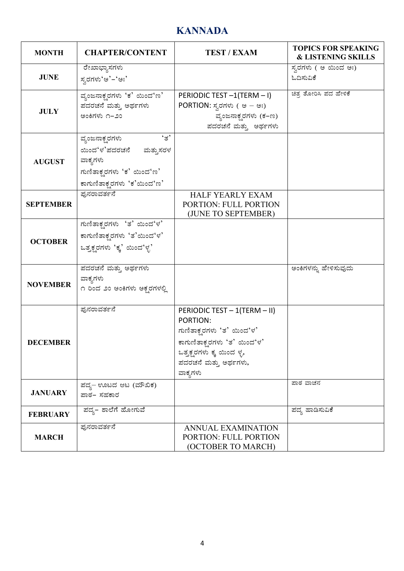#### **KANNADA**

| <b>MONTH</b>     | <b>CHAPTER/CONTENT</b>                                                                                                                 | <b>TEST / EXAM</b>                                                                                                                                                    | <b>TOPICS FOR SPEAKING</b><br><b>&amp; LISTENING SKILLS</b> |
|------------------|----------------------------------------------------------------------------------------------------------------------------------------|-----------------------------------------------------------------------------------------------------------------------------------------------------------------------|-------------------------------------------------------------|
| <b>JUNE</b>      | ರೇಖಾಭ್ಯಾಸಗಳು<br>ಸ್ನರಗಳು'ಅ'–'ಅಃ'                                                                                                        |                                                                                                                                                                       | ಸ್ನರಗಳು ( ಅ ಯಿಂದ ಅಃ)<br>ಓದಿಸುವಿಕೆ                           |
| <b>JULY</b>      | ವ್ಯಂಜನಾಕ್ಷರಗಳು 'ಕ' ಯಿಂದ'ಣ'<br>ಪದರಚನೆ ಮತ್ತು ಅರ್ಥಗಳು<br>ಅಂಕಿಗಳು ೧–೨೦                                                                     | PERIODIC TEST -1(TERM - I)<br>PORTION: ಸ್ವರಗಳು ( ಅ – ಅಃ)<br>ವ್ಯಂಜನಾಕ್ಷರಗಳು (ಕ–ಣ)<br>ಪದರಚನೆ ಮತ್ತು ಅರ್ಥಗಳು                                                              | ಚಿತ್ರ ತೋರಿಸಿ ಪದ ಹೇಳಿಕೆ                                      |
| <b>AUGUST</b>    | $\cdot_{\vec{B}}$<br>ವ್ಯಂಜನಾಕ್ಷ್ಯರಗಳು<br>ಯಿಂದ'ಳ'ಪದರಚನೆ ಮತ್ತುಸರಳ<br>ವಾಕ್ಯಗಳು<br>ಗುಣಿತಾಕ್ಷರಗಳು 'ಕ' ಯಿಂದ'ಣ'<br>ಕಾಗುಣಿತಾಕ್ಷರಗಳು 'ಕ'ಯಿಂದ'ಣ' |                                                                                                                                                                       |                                                             |
| <b>SEPTEMBER</b> | ಫುನರಾವರ್ತನೆ                                                                                                                            | <b>HALF YEARLY EXAM</b><br><b>PORTION: FULL PORTION</b><br>(JUNE TO SEPTEMBER)                                                                                        |                                                             |
| <b>OCTOBER</b>   | ಗುಣಿತಾಕ್ಸರಗಳು 'ತ' ಯಿಂದ'ಳ'<br>ಕಾಗುಣಿತಾಕ್ಷರಗಳು 'ತ'ಯಿಂದ'ಳ'<br>ಒತ್ತಕ್ಷರಗಳು 'ಕ್ಕ' ಯಿಂದ'ಳ್ಳ'                                                 |                                                                                                                                                                       |                                                             |
| <b>NOVEMBER</b>  | ಪದರಚನೆ ಮತ್ತು ಅರ್ಥಗಳು<br>ವಾಕ್ಯಗಳು<br>೧ ರಿಂದ ೨೦ ಅಂಕಿಗಳು ಅಕ್ಷರಗಳಲ್ಲಿ                                                                      |                                                                                                                                                                       | ಅಂಕಿಗಳನ್ನು ಹೇಳಿಸುವುದು                                       |
| <b>DECEMBER</b>  | ಫುನರಾವರ್ತನೆ                                                                                                                            | PERIODIC TEST - 1(TERM - II)<br>PORTION:<br>ಗುಣಿತಾಕ್ಷರಗಳು 'ತ' ಯಿಂದ'ಳ'<br>ಕಾಗುಣಿತಾಕ್ತರಗಳು 'ತ' ಯಿಂದ'ಳ'<br>ಒತ್ತಕ್ಷರಗಳು ಕ್ಕ ಯಿಂದ ಳೃ,<br>ಪದರಚನೆ ಮತ್ತು ಅರ್ಥಗಳು,<br>ವಾಕ್ಯಗಳು |                                                             |
| <b>JANUARY</b>   | ಪದ್ಯ– ಊಟದ ಆಟ (ಮೌಖಿಕ)<br>ಪಾಠ– ಸಹಕಾರ                                                                                                     |                                                                                                                                                                       | ಪಾಠ ವಾಚನ                                                    |
| <b>FEBRUARY</b>  | ಪದ್ಯ– ಶಾಲೆಗೆ ಹೋಗುವೆ                                                                                                                    |                                                                                                                                                                       | ಪದ್ಯ ಹಾಡಿಸುವಿಕೆ                                             |
| <b>MARCH</b>     | ಫುನರಾವರ್ತನೆ                                                                                                                            | <b>ANNUAL EXAMINATION</b><br>PORTION: FULL PORTION<br>(OCTOBER TO MARCH)                                                                                              |                                                             |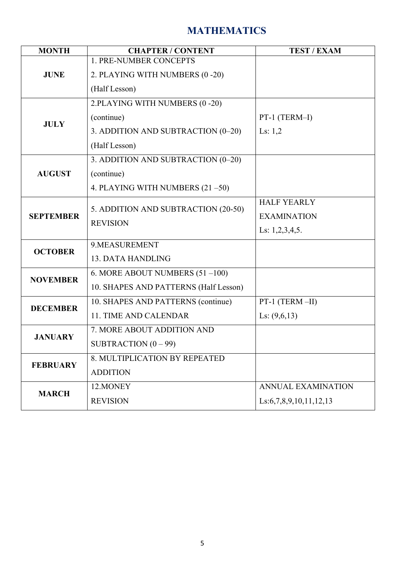### **MATHEMATICS**

| <b>MONTH</b>     | <b>CHAPTER / CONTENT</b>              | <b>TEST / EXAM</b>             |
|------------------|---------------------------------------|--------------------------------|
| <b>JUNE</b>      | 1. PRE-NUMBER CONCEPTS                |                                |
|                  | 2. PLAYING WITH NUMBERS (0 -20)       |                                |
|                  | (Half Lesson)                         |                                |
|                  | 2.PLAYING WITH NUMBERS (0-20)         |                                |
| <b>JULY</b>      | (continue)                            | PT-1 (TERM-I)                  |
|                  | 3. ADDITION AND SUBTRACTION (0-20)    | Ls: $1,2$                      |
|                  | (Half Lesson)                         |                                |
|                  | 3. ADDITION AND SUBTRACTION (0-20)    |                                |
| <b>AUGUST</b>    | (continue)                            |                                |
|                  | 4. PLAYING WITH NUMBERS $(21 - 50)$   |                                |
|                  |                                       | <b>HALF YEARLY</b>             |
| <b>SEPTEMBER</b> | 5. ADDITION AND SUBTRACTION (20-50)   | <b>EXAMINATION</b>             |
|                  | <b>REVISION</b>                       | Ls: $1,2,3,4,5$ .              |
| <b>OCTOBER</b>   | 9.MEASUREMENT                         |                                |
|                  | <b>13. DATA HANDLING</b>              |                                |
| <b>NOVEMBER</b>  | 6. MORE ABOUT NUMBERS $(51 - 100)$    |                                |
|                  | 10. SHAPES AND PATTERNS (Half Lesson) |                                |
| <b>DECEMBER</b>  | 10. SHAPES AND PATTERNS (continue)    | $PT-1$ (TERM $-II$ )           |
|                  | 11. TIME AND CALENDAR                 | Ls: $(9,6,13)$                 |
| <b>JANUARY</b>   | 7. MORE ABOUT ADDITION AND            |                                |
|                  | SUBTRACTION $(0 - 99)$                |                                |
| <b>FEBRUARY</b>  | 8. MULTIPLICATION BY REPEATED         |                                |
|                  | <b>ADDITION</b>                       |                                |
|                  | 12.MONEY                              | <b>ANNUAL EXAMINATION</b>      |
| <b>MARCH</b>     | <b>REVISION</b>                       | Ls: 6, 7, 8, 9, 10, 11, 12, 13 |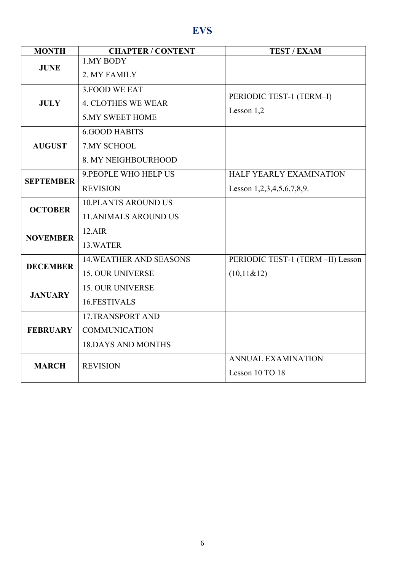### **EVS**

| <b>MONTH</b>     | <b>CHAPTER / CONTENT</b>       | <b>TEST / EXAM</b>                     |
|------------------|--------------------------------|----------------------------------------|
| <b>JUNE</b>      | 1.MY BODY                      |                                        |
|                  | 2. MY FAMILY                   |                                        |
|                  | 3. FOOD WE EAT                 |                                        |
| <b>JULY</b>      | <b>4. CLOTHES WE WEAR</b>      | PERIODIC TEST-1 (TERM-I)<br>Lesson 1,2 |
|                  | <b>5.MY SWEET HOME</b>         |                                        |
|                  | <b>6.GOOD HABITS</b>           |                                        |
| <b>AUGUST</b>    | 7.MY SCHOOL                    |                                        |
|                  | 8. MY NEIGHBOURHOOD            |                                        |
|                  | 9. PEOPLE WHO HELP US          | HALF YEARLY EXAMINATION                |
| <b>SEPTEMBER</b> | <b>REVISION</b>                | Lesson $1,2,3,4,5,6,7,8,9$ .           |
| <b>OCTOBER</b>   | <b>10.PLANTS AROUND US</b>     |                                        |
|                  | <b>11. ANIMALS AROUND US</b>   |                                        |
|                  | 12.AIR                         |                                        |
| <b>NOVEMBER</b>  | 13.WATER                       |                                        |
|                  | <b>14. WEATHER AND SEASONS</b> | PERIODIC TEST-1 (TERM -II) Lesson      |
| <b>DECEMBER</b>  | <b>15. OUR UNIVERSE</b>        | (10,11&12)                             |
| <b>JANUARY</b>   | <b>15. OUR UNIVERSE</b>        |                                        |
|                  | 16.FESTIVALS                   |                                        |
| <b>FEBRUARY</b>  | 17.TRANSPORT AND               |                                        |
|                  | <b>COMMUNICATION</b>           |                                        |
|                  | <b>18.DAYS AND MONTHS</b>      |                                        |
|                  |                                | <b>ANNUAL EXAMINATION</b>              |
| <b>MARCH</b>     | <b>REVISION</b>                | Lesson 10 TO 18                        |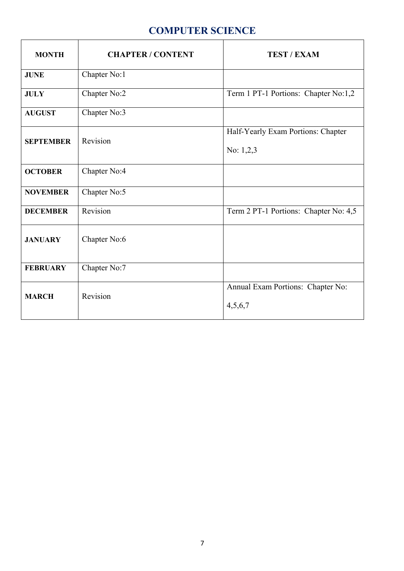#### **COMPUTER SCIENCE**

| <b>MONTH</b>     | <b>CHAPTER / CONTENT</b> | <b>TEST / EXAM</b>                                |
|------------------|--------------------------|---------------------------------------------------|
| <b>JUNE</b>      | Chapter No:1             |                                                   |
| <b>JULY</b>      | Chapter $No:2$           | Term 1 PT-1 Portions: Chapter No:1,2              |
| <b>AUGUST</b>    | Chapter No:3             |                                                   |
| <b>SEPTEMBER</b> | Revision                 | Half-Yearly Exam Portions: Chapter<br>No: $1,2,3$ |
| <b>OCTOBER</b>   | Chapter No:4             |                                                   |
| <b>NOVEMBER</b>  | Chapter No:5             |                                                   |
| <b>DECEMBER</b>  | Revision                 | Term 2 PT-1 Portions: Chapter No: 4,5             |
| <b>JANUARY</b>   | Chapter No:6             |                                                   |
| <b>FEBRUARY</b>  | Chapter No:7             |                                                   |
| <b>MARCH</b>     | Revision                 | Annual Exam Portions: Chapter No:<br>4,5,6,7      |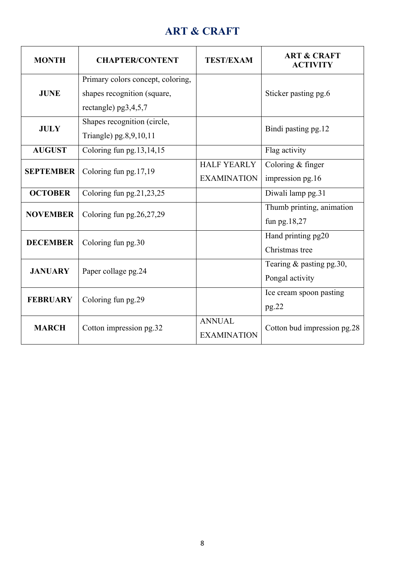#### **ART & CRAFT**

| <b>MONTH</b>     | <b>CHAPTER/CONTENT</b>                                                                   | <b>TEST/EXAM</b>                         | <b>ART &amp; CRAFT</b><br><b>ACTIVITY</b>      |
|------------------|------------------------------------------------------------------------------------------|------------------------------------------|------------------------------------------------|
| <b>JUNE</b>      | Primary colors concept, coloring,<br>shapes recognition (square,<br>rectangle) pg3,4,5,7 |                                          | Sticker pasting pg.6                           |
| <b>JULY</b>      | Shapes recognition (circle,<br>Triangle) pg.8,9,10,11                                    |                                          | Bindi pasting pg.12                            |
| <b>AUGUST</b>    | Coloring fun pg.13,14,15                                                                 |                                          | Flag activity                                  |
| <b>SEPTEMBER</b> | Coloring fun pg.17,19                                                                    | <b>HALF YEARLY</b><br><b>EXAMINATION</b> | Coloring & finger<br>impression pg.16          |
| <b>OCTOBER</b>   | Coloring fun pg.21,23,25                                                                 |                                          | Diwali lamp pg.31                              |
| <b>NOVEMBER</b>  | Coloring fun $pg.26,27,29$                                                               |                                          | Thumb printing, animation<br>fun pg. $18,27$   |
| <b>DECEMBER</b>  | Coloring fun pg.30                                                                       |                                          | Hand printing pg20<br>Christmas tree           |
| <b>JANUARY</b>   | Paper collage pg.24                                                                      |                                          | Tearing $&$ pasting pg. 30,<br>Pongal activity |
| <b>FEBRUARY</b>  | Coloring fun pg.29                                                                       |                                          | Ice cream spoon pasting<br>pg.22               |
| <b>MARCH</b>     | Cotton impression pg.32                                                                  | <b>ANNUAL</b><br><b>EXAMINATION</b>      | Cotton bud impression pg.28                    |